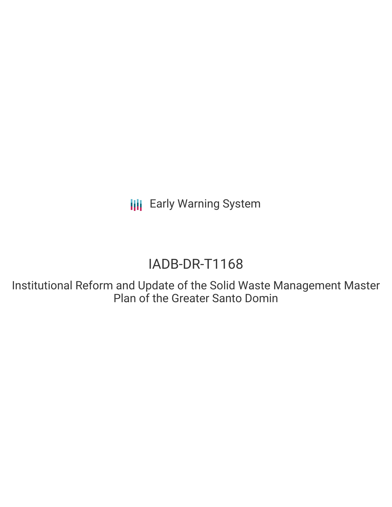**III** Early Warning System

# IADB-DR-T1168

Institutional Reform and Update of the Solid Waste Management Master Plan of the Greater Santo Domin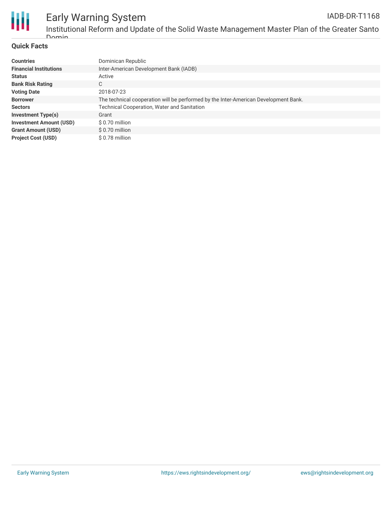

### Early Warning System IADB-DR-T1168

Institutional Reform and Update of the Solid Waste Management Master Plan of the Greater Santo Domin

### **Quick Facts**

| <b>Countries</b>               | Dominican Republic                                                                  |
|--------------------------------|-------------------------------------------------------------------------------------|
| <b>Financial Institutions</b>  | Inter-American Development Bank (IADB)                                              |
| <b>Status</b>                  | Active                                                                              |
| <b>Bank Risk Rating</b>        | C                                                                                   |
| <b>Voting Date</b>             | 2018-07-23                                                                          |
| <b>Borrower</b>                | The technical cooperation will be performed by the Inter-American Development Bank. |
| <b>Sectors</b>                 | <b>Technical Cooperation, Water and Sanitation</b>                                  |
| <b>Investment Type(s)</b>      | Grant                                                                               |
| <b>Investment Amount (USD)</b> | \$ 0.70 million                                                                     |
| <b>Grant Amount (USD)</b>      | \$0.70 million                                                                      |
| <b>Project Cost (USD)</b>      | \$0.78 million                                                                      |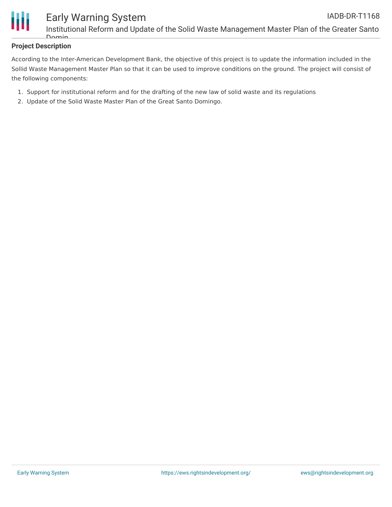

### **Project Description**

According to the Inter-American Development Bank, the objective of this project is to update the information included in the Sollid Waste Management Master Plan so that it can be used to improve conditions on the ground. The project will consist of the following components:

- 1. Support for institutional reform and for the drafting of the new law of solid waste and its regulations
- 2. Update of the Solid Waste Master Plan of the Great Santo Domingo.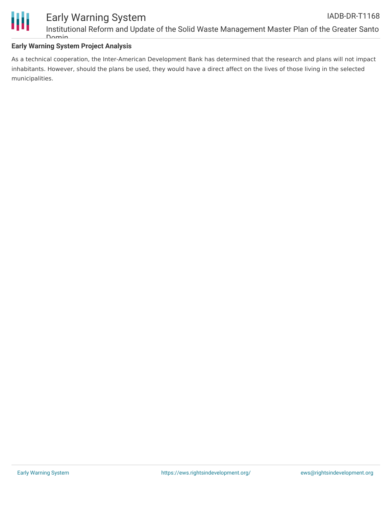

## Early Warning System

Institutional Reform and Update of the Solid Waste Management Master Plan of the Greater Santo  $\Gamma$ 

### **Early Warning System Project Analysis**

As a technical cooperation, the Inter-American Development Bank has determined that the research and plans will not impact inhabitants. However, should the plans be used, they would have a direct affect on the lives of those living in the selected municipalities.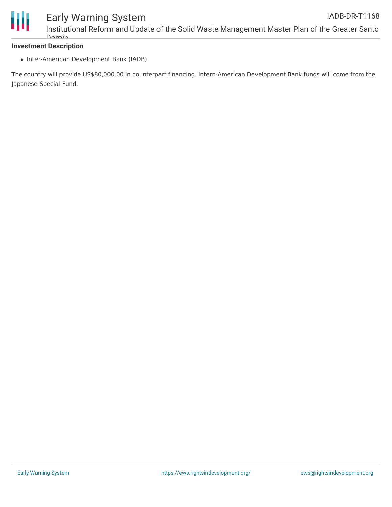

### Early Warning System

Institutional Reform and Update of the Solid Waste Management Master Plan of the Greater Santo Domin

### **Investment Description**

• Inter-American Development Bank (IADB)

The country will provide US\$80,000.00 in counterpart financing. Intern-American Development Bank funds will come from the Japanese Special Fund.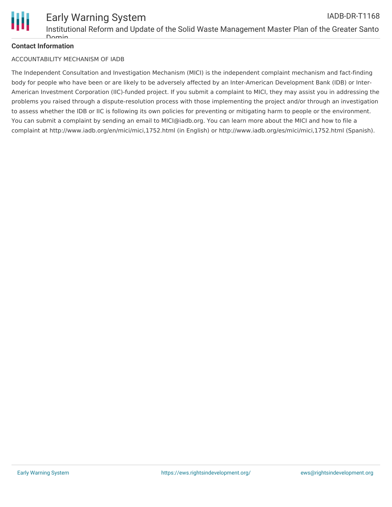

### **Contact Information**

### ACCOUNTABILITY MECHANISM OF IADB

The Independent Consultation and Investigation Mechanism (MICI) is the independent complaint mechanism and fact-finding body for people who have been or are likely to be adversely affected by an Inter-American Development Bank (IDB) or Inter-American Investment Corporation (IIC)-funded project. If you submit a complaint to MICI, they may assist you in addressing the problems you raised through a dispute-resolution process with those implementing the project and/or through an investigation to assess whether the IDB or IIC is following its own policies for preventing or mitigating harm to people or the environment. You can submit a complaint by sending an email to MICI@iadb.org. You can learn more about the MICI and how to file a complaint at http://www.iadb.org/en/mici/mici,1752.html (in English) or http://www.iadb.org/es/mici/mici,1752.html (Spanish).